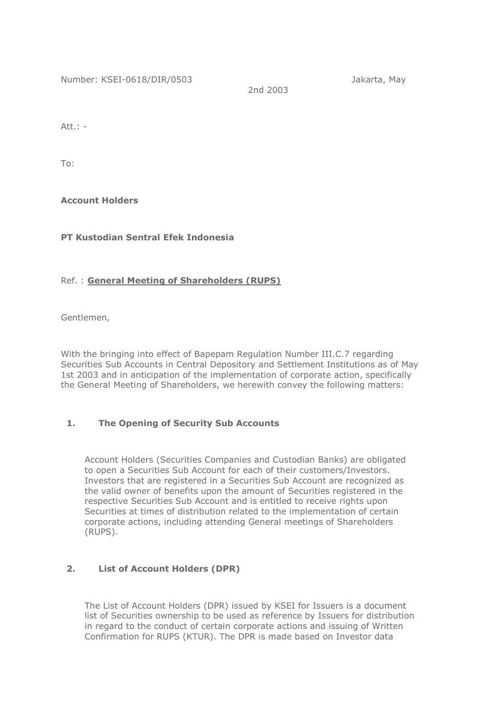Number: KSEI-0618/DIR/0503 Jakarta, May

2nd 2003

 $Att.$ :  $-$ 

To:

**Account Holders**

**PT Kustodian Sentral Efek Indonesia**

## Ref. : **General Meeting of Shareholders (RUPS)**

Gentlemen,

With the bringing into effect of Bapepam Regulation Number III.C.7 regarding Securities Sub Accounts in Central Depository and Settlement Institutions as of May 1st 2003 and in anticipation of the implementation of corporate action, specifically the General Meeting of Shareholders, we herewith convey the following matters:

# **1. The Opening of Security Sub Accounts**

Account Holders (Securities Companies and Custodian Banks) are obligated to open a Securities Sub Account for each of their customers/Investors. Investors that are registered in a Securities Sub Account are recognized as the valid owner of benefits upon the amount of Securities registered in the respective Securities Sub Account and is entitled to receive rights upon Securities at times of distribution related to the implementation of certain corporate actions, including attending General meetings of Shareholders (RUPS).

# **2. List of Account Holders (DPR)**

The List of Account Holders (DPR) issued by KSEI for Issuers is a document list of Securities ownership to be used as reference by Issuers for distribution in regard to the conduct of certain corporate actions and issuing of Written Confirmation for RUPS (KTUR). The DPR is made based on Investor data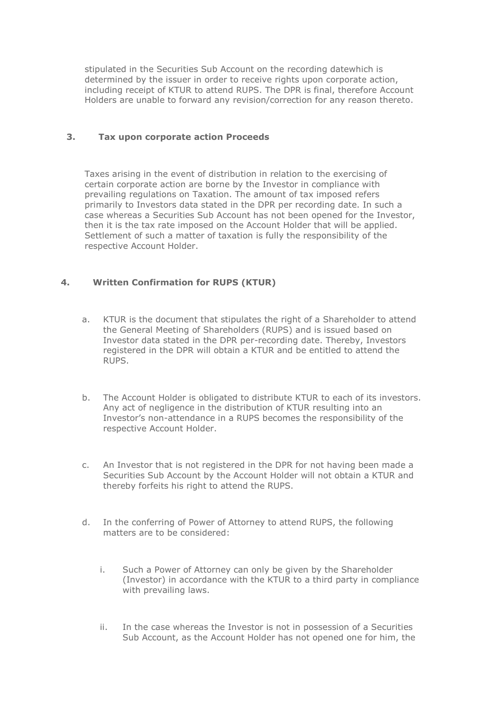stipulated in the Securities Sub Account on the recording datewhich is determined by the issuer in order to receive rights upon corporate action, including receipt of KTUR to attend RUPS. The DPR is final, therefore Account Holders are unable to forward any revision/correction for any reason thereto.

### **3. Tax upon corporate action Proceeds**

Taxes arising in the event of distribution in relation to the exercising of certain corporate action are borne by the Investor in compliance with prevailing regulations on Taxation. The amount of tax imposed refers primarily to Investors data stated in the DPR per recording date. In such a case whereas a Securities Sub Account has not been opened for the Investor, then it is the tax rate imposed on the Account Holder that will be applied. Settlement of such a matter of taxation is fully the responsibility of the respective Account Holder.

## **4. Written Confirmation for RUPS (KTUR)**

- a. KTUR is the document that stipulates the right of a Shareholder to attend the General Meeting of Shareholders (RUPS) and is issued based on Investor data stated in the DPR per*-*recording date. Thereby, Investors registered in the DPR will obtain a KTUR and be entitled to attend the RUPS.
- b. The Account Holder is obligated to distribute KTUR to each of its investors. Any act of negligence in the distribution of KTUR resulting into an Investor's non-attendance in a RUPS becomes the responsibility of the respective Account Holder.
- c. An Investor that is not registered in the DPR for not having been made a Securities Sub Account by the Account Holder will not obtain a KTUR and thereby forfeits his right to attend the RUPS.
- d. In the conferring of Power of Attorney to attend RUPS, the following matters are to be considered:
	- i. Such a Power of Attorney can only be given by the Shareholder (Investor) in accordance with the KTUR to a third party in compliance with prevailing laws.
	- ii. In the case whereas the Investor is not in possession of a Securities Sub Account, as the Account Holder has not opened one for him, the